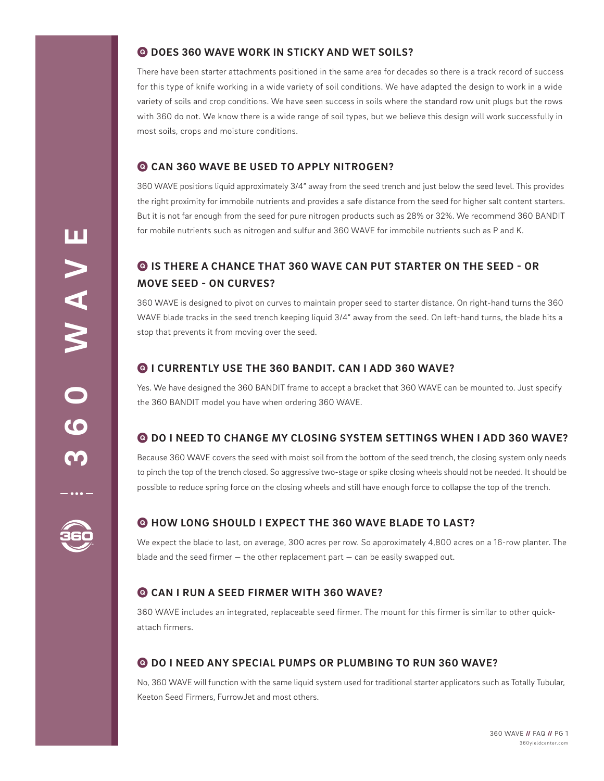## Q **DOES 360 WAVE WORK IN STICKY AND WET SOILS?**

There have been starter attachments positioned in the same area for decades so there is a track record of success for this type of knife working in a wide variety of soil conditions. We have adapted the design to work in a wide variety of soils and crop conditions. We have seen success in soils where the standard row unit plugs but the rows with 360 do not. We know there is a wide range of soil types, but we believe this design will work successfully in most soils, crops and moisture conditions.

## Q **CAN 360 WAVE BE USED TO APPLY NITROGEN?**

360 WAVE positions liquid approximately 3/4" away from the seed trench and just below the seed level. This provides the right proximity for immobile nutrients and provides a safe distance from the seed for higher salt content starters. But it is not far enough from the seed for pure nitrogen products such as 28% or 32%. We recommend 360 BANDIT for mobile nutrients such as nitrogen and sulfur and 360 WAVE for immobile nutrients such as P and K.

# Q **IS THERE A CHANCE THAT 360 WAVE CAN PUT STARTER ON THE SEED - OR MOVE SEED - ON CURVES?**

360 WAVE is designed to pivot on curves to maintain proper seed to starter distance. On right-hand turns the 360 WAVE blade tracks in the seed trench keeping liquid 3/4" away from the seed. On left-hand turns, the blade hits a stop that prevents it from moving over the seed.

## Q **I CURRENTLY USE THE 360 BANDIT. CAN I ADD 360 WAVE?**

Yes. We have designed the 360 BANDIT frame to accept a bracket that 360 WAVE can be mounted to. Just specify the 360 BANDIT model you have when ordering 360 WAVE.

## Q **DO I NEED TO CHANGE MY CLOSING SYSTEM SETTINGS WHEN I ADD 360 WAVE?**

Because 360 WAVE covers the seed with moist soil from the bottom of the seed trench, the closing system only needs to pinch the top of the trench closed. So aggressive two-stage or spike closing wheels should not be needed. It should be possible to reduce spring force on the closing wheels and still have enough force to collapse the top of the trench.

## Q **HOW LONG SHOULD I EXPECT THE 360 WAVE BLADE TO LAST?**

We expect the blade to last, on average, 300 acres per row. So approximately 4,800 acres on a 16-row planter. The blade and the seed firmer  $-$  the other replacement part  $-$  can be easily swapped out.

## Q **CAN I RUN A SEED FIRMER WITH 360 WAVE?**

360 WAVE includes an integrated, replaceable seed firmer. The mount for this firmer is similar to other quickattach firmers.

#### Q **DO I NEED ANY SPECIAL PUMPS OR PLUMBING TO RUN 360 WAVE?**

No, 360 WAVE will function with the same liquid system used for traditional starter applicators such as Totally Tubular, Keeton Seed Firmers, FurrowJet and most others.